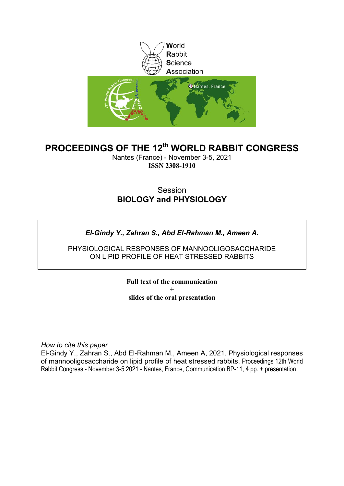

### **PROCEEDINGS OF THE 12th WORLD RABBIT CONGRESS**

Nantes (France) - November 3-5, 2021 **ISSN 2308-1910**

#### **Session BIOLOGY and PHYSIOLOGY**

#### *El-Gindy Y., Zahran S., Abd El-Rahman M., Ameen A.*

PHYSIOLOGICAL RESPONSES OF MANNOOLIGOSACCHARIDE ON LIPID PROFILE OF HEAT STRESSED RABBITS

> **Full text of the communication + slides of the oral presentation**

*How to cite this paper*

El-Gindy Y., Zahran S., Abd El-Rahman M., Ameen A, 2021. Physiological responses of mannooligosaccharide on lipid profile of heat stressed rabbits. Proceedings 12th World Rabbit Congress - November 3-5 2021 - Nantes, France, Communication BP-11, 4 pp. + presentation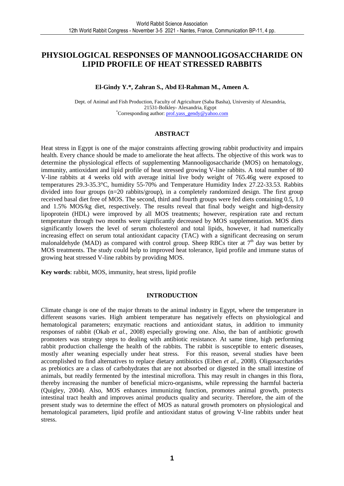#### **PHYSIOLOGICAL RESPONSES OF MANNOOLIGOSACCHARIDE ON LIPID PROFILE OF HEAT STRESSED RABBITS**

#### **El-Gindy Y.\*, Zahran S., Abd El-Rahman M., Ameen A.**

Dept. of Animal and Fish Production, Faculty of Agriculture (Saba Basha), University of Alexandria, 21531-Bolkley- Alexandria, Egypt \*Corresponding author: prof.yass\_gendy@yahoo.com

#### **ABSTRACT**

Heat stress in Egypt is one of the major constraints affecting growing rabbit productivity and impairs health. Every chance should be made to ameliorate the heat affects. The objective of this work was to determine the physiological effects of supplementing Mannooligosaccharide (MOS) on hematology, immunity, antioxidant and lipid profile of heat stressed growing V-line rabbits. A total number of 80 V-line rabbits at 4 weeks old with average initial live body weight of 765.46g were exposed to temperatures 29.3-35.3°C, humidity 55-70% and Temperature Humidity Index 27.22-33.53. Rabbits divided into four groups (n=20 rabbits/group), in a completely randomized design. The first group received basal diet free of MOS. The second, third and fourth groups were fed diets containing 0.5, 1.0 and 1.5% MOS/kg diet, respectively. The results reveal that final body weight and high-density lipoprotein (HDL) were improved by all MOS treatments; however, respiration rate and rectum temperature through two months were significantly decreased by MOS supplementation. MOS diets significantly lowers the level of serum cholesterol and total lipids, however, it had numerically increasing effect on serum total antioxidant capacity (TAC) with a significant decreasing on serum malonaldehyde (MAD) as compared with control group. Sheep RBCs titer at  $7<sup>th</sup>$  day was better by MOS treatments. The study could help to improved heat tolerance, lipid profile and immune status of growing heat stressed V-line rabbits by providing MOS.

**Key words**: rabbit, MOS, immunity, heat stress, lipid profile

#### **INTRODUCTION**

Climate change is one of the major threats to the animal industry in Egypt, where the temperature in different seasons varies. High ambient temperature has negatively effects on physiological and hematological parameters; enzymatic reactions and antioxidant status, in addition to immunity responses of rabbit (Okab *et al.,* 2008) especially growing one. Also, the ban of antibiotic growth promoters was strategy steps to dealing with antibiotic resistance. At same time, high performing rabbit production challenge the health of the rabbits. The rabbit is susceptible to enteric diseases, mostly after weaning especially under heat stress. For this reason, several studies have been accomplished to find alternatives to replace dietary antibiotics (Eiben *et al.,* 2008). Oligosaccharides as prebiotics are a class of carbohydrates that are not absorbed or digested in the small intestine of animals, but readily fermented by the intestinal microflora. This may result in changes in this flora, thereby increasing the number of beneficial micro-organisms, while repressing the harmful bacteria (Quigley, 2004). Also, MOS enhances immunizing function, promotes animal growth, protects intestinal tract health and improves animal products quality and security. Therefore, the aim of the present study was to determine the effect of MOS as natural growth promoters on physiological and hematological parameters, lipid profile and antioxidant status of growing V-line rabbits under heat stress.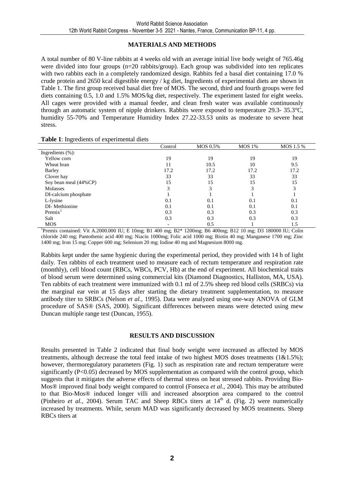#### **MATERIALS AND METHODS**

A total number of 80 V-line rabbits at 4 weeks old with an average initial live body weight of 765.46g were divided into four groups (n=20 rabbits/group). Each group was subdivided into ten replicates with two rabbits each in a completely randomized design. Rabbits fed a basal diet containing 17.0 % crude protein and 2650 kcal digestible energy / kg diet, Ingredients of experimental diets are shown in Table 1. The first group received basal diet free of MOS. The second, third and fourth groups were fed diets containing 0.5, 1.0 and 1.5% MOS/kg diet, respectively. The experiment lasted for eight weeks. All cages were provided with a manual feeder, and clean fresh water was available continuously through an automatic system of nipple drinkers. Rabbits were exposed to temperature 29.3- 35.3°C, humidity 55-70% and Temperature Humidity Index 27.22-33.53 units as moderate to severe heat stress.

| Table 1: Ingredients of experimental diets |         |
|--------------------------------------------|---------|
|                                            | Control |

|                       | Control | MOS 0.5% | MOS 1% | MOS 1.5 % |
|-----------------------|---------|----------|--------|-----------|
| Ingredients $(\% )$ : |         |          |        |           |
| Yellow corn           | 19      | 19       | 19     | 19        |
| Wheat bran            |         | 10.5     | 10     | 9.5       |
| Barley                | 17.2    | 17.2     | 17.2   | 17.2      |
| Clover hay            | 33      | 33       | 33     | 33        |
| Soy bean meal (44%CP) | 15      | 15       | 15     | 15        |
| Molasses              |         | 3        | 3      |           |
| DI-calcium phosphate  |         |          |        |           |
| L-lysine              | 0.1     | 0.1      | 0.1    | 0.1       |
| DI-Methionine         | 0.1     | 0.1      | 0.1    | 0.1       |
| Premix <sup>1</sup>   | 0.3     | 0.3      | 0.3    | 0.3       |
| Salt                  | 0.3     | 0.3      | 0.3    | 0.3       |
| <b>MOS</b>            |         | 0.5      |        | 1.5       |

<sup>1</sup>Premix contained: Vit A.2000.000 IU; E 10mg; B1 400 mg; B2\* 1200mg; B6 400mg; B12 10 mg; D3 180000 IU; Colin chloride 240 mg; Pantothenic acid 400 mg; Niacin 1000mg; Folic acid 1000 mg; Biotin 40 mg; Manganese 1700 mg; Zinc 1400 mg; Iron 15 mg; Copper 600 mg; Selenium 20 mg; Iodine 40 mg and Magnesium 8000 mg.

Rabbits kept under the same hygienic during the experimental period, they provided with 14 h of light daily. Ten rabbits of each treatment used to measure each of rectum temperature and respiration rate (monthly), cell blood count (RBCs, WBCs, PCV, Hb) at the end of experiment. All biochemical traits of blood serum were determined using commercial kits (Diamond Diagnostics, Halliston, MA, USA). Ten rabbits of each treatment were immunized with 0.1 ml of 2.5% sheep red blood cells (SRBCs) via the marginal ear vein at 15 days after starting the dietary treatment supplementation, to measure antibody titer to SRBCs (Nelson *et al.,* 1995). Data were analyzed using one-way ANOVA of GLM procedure of SAS® (SAS, 2000). Significant differences between means were detected using mew Duncan multiple range test (Duncan, 1955).

#### **RESULTS AND DISCUSSION**

Results presented in Table 2 indicated that final body weight were increased as affected by MOS treatments, although decrease the total feed intake of two highest MOS doses treatments  $(1\&1.5\%)$ ; however, thermoregulatory parameters (Fig. 1) such as respiration rate and rectum temperature were significantly (P<0.05) decreased by MOS supplementation as compared with the control group, which suggests that it mitigates the adverse effects of thermal stress on heat stressed rabbits. Providing Bio-Mos® improved final body weight compared to control (Fonseca *et al.,* 2004). This may be attributed to that Bio-Mos® induced longer villi and increased absorption area compared to the control (Pinheiro *et al.*, 2004). Serum TAC and Sheep RBCs titers at  $14<sup>th</sup>$  d. (Fig. 2) were numerically increased by treatments. While, serum MAD was significantly decreased by MOS treatments. Sheep RBCs titers at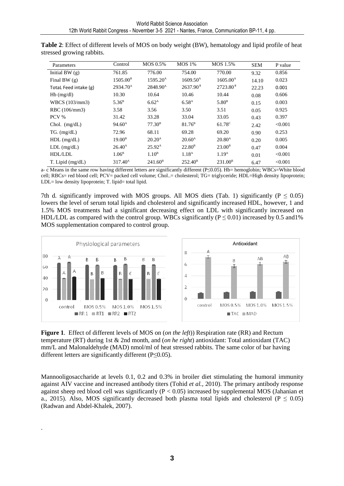| Parameters            | Control              | MOS 0.5%             | <b>MOS</b> 1%        | MOS 1.5%             | <b>SEM</b> | P value |
|-----------------------|----------------------|----------------------|----------------------|----------------------|------------|---------|
| Initial BW $(g)$      | 761.85               | 776.00               | 754.00               | 770.00               | 9.32       | 0.856   |
| Final BW $(g)$        | 1505.00 <sup>B</sup> | 1595.20 <sup>A</sup> | $1609.50^{\text{A}}$ | $1605.00^{\text{A}}$ | 14.10      | 0.023   |
| TotaL Feed intake (g) | 2934.70 <sup>A</sup> | 2848.90 <sup>A</sup> | $2637.90^8$          | $2723.80^{\text{B}}$ | 22.23      | 0.001   |
| $Hb$ (mg/dl)          | 10.30                | 10.64                | 10.46                | 10.44                | 0.08       | 0.606   |
| WBCS (103/mm3)        | $5.36^{\rm B}$       | 6.62 <sup>A</sup>    | 6.58 <sup>A</sup>    | 5.80 <sup>B</sup>    | 0.15       | 0.003   |
| RBC (106/mm3)         | 3.58                 | 3.56                 | 3.50                 | 3.51                 | 0.05       | 0.925   |
| PCV %                 | 31.42                | 33.28                | 33.04                | 33.05                | 0.43       | 0.397   |
| Chol. $(mg/dL)$       | $94.60^{\text{A}}$   | $77.30^{\rm B}$      | $81.76^{\rm B}$      | $61.78^{\circ}$      | 2.42       | < 0.001 |
| $TG.$ (mg/dL)         | 72.96                | 68.11                | 69.28                | 69.20                | 0.90       | 0.253   |
| $HDL$ (mg/dL)         | 19.00 <sup>B</sup>   | 20.20 <sup>A</sup>   | $20.60^{\rm A}$      | 20.80 <sup>A</sup>   | 0.20       | 0.005   |
| $LDL$ (mg/dL)         | $26.40^{\rm A}$      | $25.92^{\text{A}}$   | $22.80^{\rm B}$      | $23.00^{\rm B}$      | 0.47       | 0.004   |
| HDL/LDL               | 1.06 <sup>B</sup>    | 1.10 <sup>B</sup>    | 1.18 <sup>A</sup>    | 1.19 <sup>A</sup>    | 0.01       | < 0.001 |
| $T.$ Lipid (mg/dL)    | $317.40^{\text{A}}$  | $241.60^{\rm B}$     | $252.40^{\rm B}$     | $231.00^{\rm B}$     | 6.47       | < 0.001 |

**Table 2**: Effect of different levels of MOS on body weight (BW), hematology and lipid profile of heat stressed growing rabbits.

a- c Means in the same row having different letters are significantly different (P≤0.05). Hb= hemoglobin; WBCs=White blood cell; RBCs= red blood cell; PCV= packed cell volume; Chol..= cholesterol; TG= triglyceride; HDL=High density lipoprotein; LDL= low density lipoprotein; T. lipid= total lipid.

7th d. significantly improved with MOS groups. All MOS diets (Tab. 1) significantly ( $P \le 0.05$ ) lowers the level of serum total lipids and cholesterol and significantly increased HDL, however, 1 and 1.5% MOS treatments had a significant decreasing effect on LDL with significantly increased on HDL/LDL as compared with the control group. WBCs significantly ( $P \le 0.01$ ) increased by 0.5 and 1% MOS supplementation compared to control group.



**Figure 1**. Effect of different levels of MOS on (*on the left*)) Respiration rate (RR) and Rectum temperature (RT) during 1st & 2nd month, and (*on he right*) antioxidant: Total antioxidant (TAC) mm/L and Malonaldehyde (MAD) nmol/ml of heat stressed rabbits. The same color of bar having different letters are significantly different (P≤0.05).

Mannooligosaccharide at levels 0.1, 0.2 and 0.3% in broiler diet stimulating the humoral immunity against AIV vaccine and increased antibody titers (Tohid *et al.,* 2010). The primary antibody response against sheep red blood cell was significantly  $(P < 0.05)$  increased by supplemental MOS (Jahanian et a., 2015). Also, MOS significantly decreased both plasma total lipids and cholesterol ( $P \le 0.05$ ) (Radwan and Abdel-Khalek, 2007).

.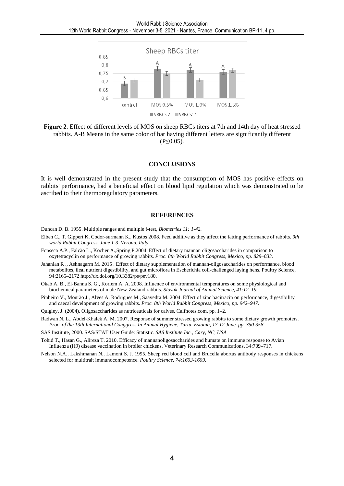

**Figure 2**. Effect of different levels of MOS on sheep RBCs titers at 7th and 14th day of heat stressed rabbits. A-B Means in the same color of bar having different letters are significantly different (P≤0.05).

#### **CONCLUSIONS**

It is well demonstrated in the present study that the consumption of MOS has positive effects on rabbits' performance, had a beneficial effect on blood lipid regulation which was demonstrated to be ascribed to their thermoregulatory parameters.

#### **REFERENCES**

Duncan D. B. 1955. Multiple ranges and multiple f-test, *Biometries 11: 1-42.* 

- Eiben C., T. Gippert K. Codor-surmann K., Kustos 2008. Feed additive as they affect the fatting performance of rabbits. *9th world Rabbit Congress. June 1-3, Verona, Italy.*
- Fonseca A.P., Falcão L., Kocher A.,Spring P.2004. Effect of dietary mannan oligosaccharides in comparison to oxytetracyclin on performance of growing rabbits. *Proc. 8th World Rabbit Congress, Mexico, pp. 829–833.*
- Jahanian R ., Ashnagarm M. 2015 . Effect of dietary supplementation of mannan-oligosaccharides on performance, blood metabolites, ileal nutrient digestibility, and gut microflora in Escherichia coli-challenged laying hens. Poultry Science, 94:2165–2172 http://dx.doi.org/10.3382/ps/pev180.
- Okab A. B., El-Banna S. G., Koriem A. A. 2008. Influence of environmental temperatures on some physiological and biochemical parameters of male New-Zealand rabbits. *Slovak Journal of Animal Science, 41:12–19.*
- Pinheiro V., Mourão J., Alves A. Rodrigues M., Saavedra M. 2004. Effect of zinc bacitracin on performance, digestibility and caecal development of growing rabbits. *Proc. 8th World Rabbit Congress, Mexico, pp. 942–947*.
- Quigley, J. (2004). Oligosaccharides as nutriceuticals for calves. Calfnotes.com. pp. 1–2.
- Radwan N. L., Abdel-Khalek A. M. 2007. Response of summer stressed growing rabbits to some dietary growth promoters. *Proc. of the 13th International Conggress In Animal Hygiene, Tartu, Estonia, 17-12 June. pp. 350-358.*

SAS Institute, 2000. SAS/STAT User Guide: Statistic. *SAS Institute Inc., Cary, NC, USA.* 

- Tohid T., Hasan G., Alireza T. 2010. Efficacy of mannanoligosaccharides and humate on immune response to Avian Influenza (H9) disease vaccination in broiler chickens. Veterinary Research Communications, 34:709–717.
- Nelson N.A., Lakshmanan N., Lamont S. J. 1995. Sheep red blood cell and Brucella abortus antibody responses in chickens selected for multitrait immunocompetence. *Poultry Science, 74:1603-1609.*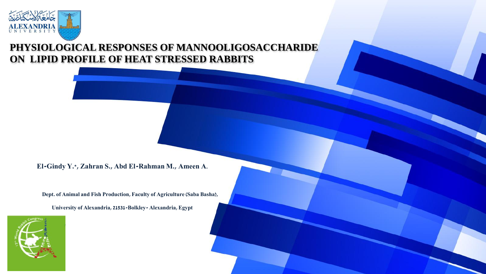

## **PHYSIOLOGICAL RESPONSES OF MANNOOLIGOSACCHARIDE ON LIPID PROFILE OF HEAT STRESSED RABBITS**

**El-Gindy Y.\*, Zahran S., Abd El-Rahman M., Ameen A.**

**Dept. of Animal and Fish Production, Faculty of Agriculture (Saba Basha),** 

**University of Alexandria, 21531-Bolkley- Alexandria, Egypt** 

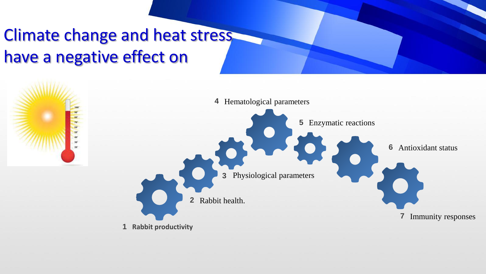## Climate change and heat stress have a negative effect on

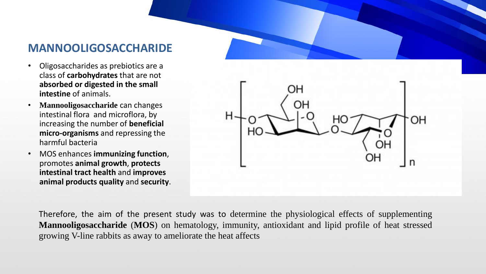## **MANNOOLIGOSACCHARIDE**

- Oligosaccharides as prebiotics are a class of **carbohydrates** that are not **absorbed or digested in the small intestine** of animals.
- **Mannooligosaccharide** can changes intestinal flora and microflora, by increasing the number of **beneficial micro-organisms** and repressing the harmful bacteria
- MOS enhances **immunizing function**, promotes **animal growth**, **protects intestinal tract health** and **improves animal products quality** and **security**.

Therefore, the aim of the present study was to determine the physiological effects of supplementing **Mannooligosaccharide** (**MOS**) on hematology, immunity, antioxidant and lipid profile of heat stressed growing V-line rabbits as away to ameliorate the heat affects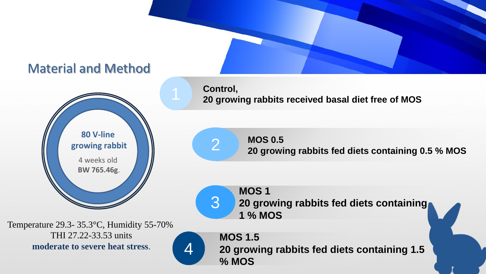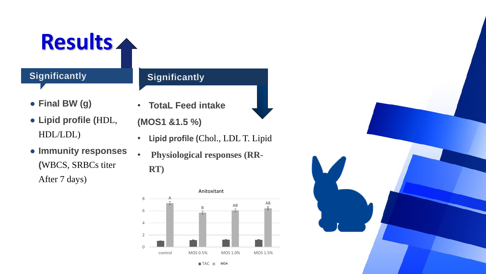

## **Significantly**

## **Significantly**

- **Final BW (g)**
- **Lipid profile (**HDL, HDL/LDL)
- **TotaL Feed intake**
- **(MOS1 &1.5 %)**
- **Lipid profile (**Chol., LDL T. Lipid
- **Immunity responses (**WBCS, SRBCs titer After 7 days)
- **Physiological responses (RR-RT)**